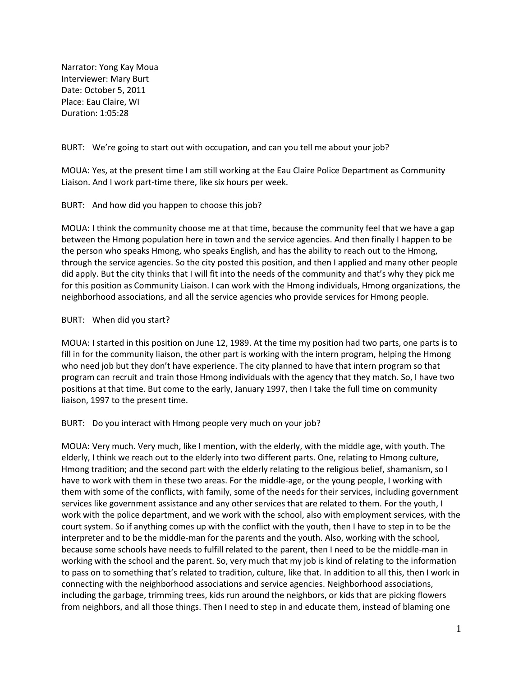Narrator: Yong Kay Moua Interviewer: Mary Burt Date: October 5, 2011 Place: Eau Claire, WI Duration: 1:05:28

BURT: We're going to start out with occupation, and can you tell me about your job?

MOUA: Yes, at the present time I am still working at the Eau Claire Police Department as Community Liaison. And I work part-time there, like six hours per week.

BURT: And how did you happen to choose this job?

MOUA: I think the community choose me at that time, because the community feel that we have a gap between the Hmong population here in town and the service agencies. And then finally I happen to be the person who speaks Hmong, who speaks English, and has the ability to reach out to the Hmong, through the service agencies. So the city posted this position, and then I applied and many other people did apply. But the city thinks that I will fit into the needs of the community and that's why they pick me for this position as Community Liaison. I can work with the Hmong individuals, Hmong organizations, the neighborhood associations, and all the service agencies who provide services for Hmong people.

## BURT: When did you start?

MOUA: I started in this position on June 12, 1989. At the time my position had two parts, one parts is to fill in for the community liaison, the other part is working with the intern program, helping the Hmong who need job but they don't have experience. The city planned to have that intern program so that program can recruit and train those Hmong individuals with the agency that they match. So, I have two positions at that time. But come to the early, January 1997, then I take the full time on community liaison, 1997 to the present time.

BURT: Do you interact with Hmong people very much on your job?

MOUA: Very much. Very much, like I mention, with the elderly, with the middle age, with youth. The elderly, I think we reach out to the elderly into two different parts. One, relating to Hmong culture, Hmong tradition; and the second part with the elderly relating to the religious belief, shamanism, so I have to work with them in these two areas. For the middle-age, or the young people, I working with them with some of the conflicts, with family, some of the needs for their services, including government services like government assistance and any other services that are related to them. For the youth, I work with the police department, and we work with the school, also with employment services, with the court system. So if anything comes up with the conflict with the youth, then I have to step in to be the interpreter and to be the middle-man for the parents and the youth. Also, working with the school, because some schools have needs to fulfill related to the parent, then I need to be the middle-man in working with the school and the parent. So, very much that my job is kind of relating to the information to pass on to something that's related to tradition, culture, like that. In addition to all this, then I work in connecting with the neighborhood associations and service agencies. Neighborhood associations, including the garbage, trimming trees, kids run around the neighbors, or kids that are picking flowers from neighbors, and all those things. Then I need to step in and educate them, instead of blaming one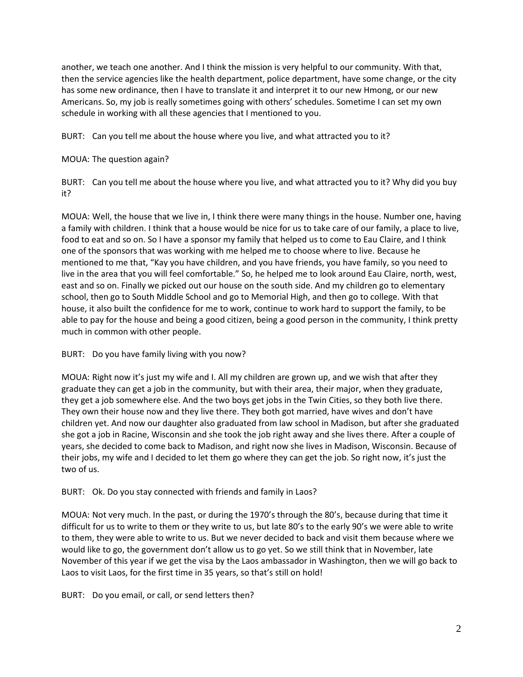another, we teach one another. And I think the mission is very helpful to our community. With that, then the service agencies like the health department, police department, have some change, or the city has some new ordinance, then I have to translate it and interpret it to our new Hmong, or our new Americans. So, my job is really sometimes going with others' schedules. Sometime I can set my own schedule in working with all these agencies that I mentioned to you.

BURT: Can you tell me about the house where you live, and what attracted you to it?

MOUA: The question again?

BURT: Can you tell me about the house where you live, and what attracted you to it? Why did you buy it?

MOUA: Well, the house that we live in, I think there were many things in the house. Number one, having a family with children. I think that a house would be nice for us to take care of our family, a place to live, food to eat and so on. So I have a sponsor my family that helped us to come to Eau Claire, and I think one of the sponsors that was working with me helped me to choose where to live. Because he mentioned to me that, "Kay you have children, and you have friends, you have family, so you need to live in the area that you will feel comfortable." So, he helped me to look around Eau Claire, north, west, east and so on. Finally we picked out our house on the south side. And my children go to elementary school, then go to South Middle School and go to Memorial High, and then go to college. With that house, it also built the confidence for me to work, continue to work hard to support the family, to be able to pay for the house and being a good citizen, being a good person in the community, I think pretty much in common with other people.

BURT: Do you have family living with you now?

MOUA: Right now it's just my wife and I. All my children are grown up, and we wish that after they graduate they can get a job in the community, but with their area, their major, when they graduate, they get a job somewhere else. And the two boys get jobs in the Twin Cities, so they both live there. They own their house now and they live there. They both got married, have wives and don't have children yet. And now our daughter also graduated from law school in Madison, but after she graduated she got a job in Racine, Wisconsin and she took the job right away and she lives there. After a couple of years, she decided to come back to Madison, and right now she lives in Madison, Wisconsin. Because of their jobs, my wife and I decided to let them go where they can get the job. So right now, it's just the two of us.

BURT: Ok. Do you stay connected with friends and family in Laos?

MOUA: Not very much. In the past, or during the 1970's through the 80's, because during that time it difficult for us to write to them or they write to us, but late 80's to the early 90's we were able to write to them, they were able to write to us. But we never decided to back and visit them because where we would like to go, the government don't allow us to go yet. So we still think that in November, late November of this year if we get the visa by the Laos ambassador in Washington, then we will go back to Laos to visit Laos, for the first time in 35 years, so that's still on hold!

BURT: Do you email, or call, or send letters then?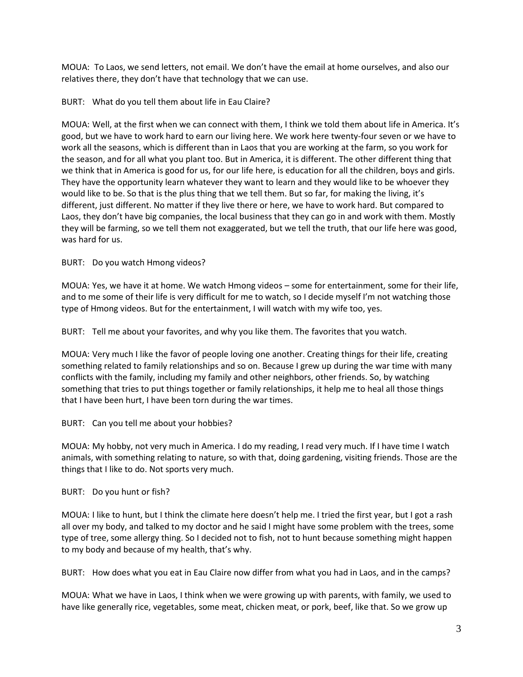MOUA: To Laos, we send letters, not email. We don't have the email at home ourselves, and also our relatives there, they don't have that technology that we can use.

## BURT: What do you tell them about life in Eau Claire?

MOUA: Well, at the first when we can connect with them, I think we told them about life in America. It's good, but we have to work hard to earn our living here. We work here twenty-four seven or we have to work all the seasons, which is different than in Laos that you are working at the farm, so you work for the season, and for all what you plant too. But in America, it is different. The other different thing that we think that in America is good for us, for our life here, is education for all the children, boys and girls. They have the opportunity learn whatever they want to learn and they would like to be whoever they would like to be. So that is the plus thing that we tell them. But so far, for making the living, it's different, just different. No matter if they live there or here, we have to work hard. But compared to Laos, they don't have big companies, the local business that they can go in and work with them. Mostly they will be farming, so we tell them not exaggerated, but we tell the truth, that our life here was good, was hard for us.

## BURT: Do you watch Hmong videos?

MOUA: Yes, we have it at home. We watch Hmong videos – some for entertainment, some for their life, and to me some of their life is very difficult for me to watch, so I decide myself I'm not watching those type of Hmong videos. But for the entertainment, I will watch with my wife too, yes.

BURT: Tell me about your favorites, and why you like them. The favorites that you watch.

MOUA: Very much I like the favor of people loving one another. Creating things for their life, creating something related to family relationships and so on. Because I grew up during the war time with many conflicts with the family, including my family and other neighbors, other friends. So, by watching something that tries to put things together or family relationships, it help me to heal all those things that I have been hurt, I have been torn during the war times.

BURT: Can you tell me about your hobbies?

MOUA: My hobby, not very much in America. I do my reading, I read very much. If I have time I watch animals, with something relating to nature, so with that, doing gardening, visiting friends. Those are the things that I like to do. Not sports very much.

BURT: Do you hunt or fish?

MOUA: I like to hunt, but I think the climate here doesn't help me. I tried the first year, but I got a rash all over my body, and talked to my doctor and he said I might have some problem with the trees, some type of tree, some allergy thing. So I decided not to fish, not to hunt because something might happen to my body and because of my health, that's why.

BURT: How does what you eat in Eau Claire now differ from what you had in Laos, and in the camps?

MOUA: What we have in Laos, I think when we were growing up with parents, with family, we used to have like generally rice, vegetables, some meat, chicken meat, or pork, beef, like that. So we grow up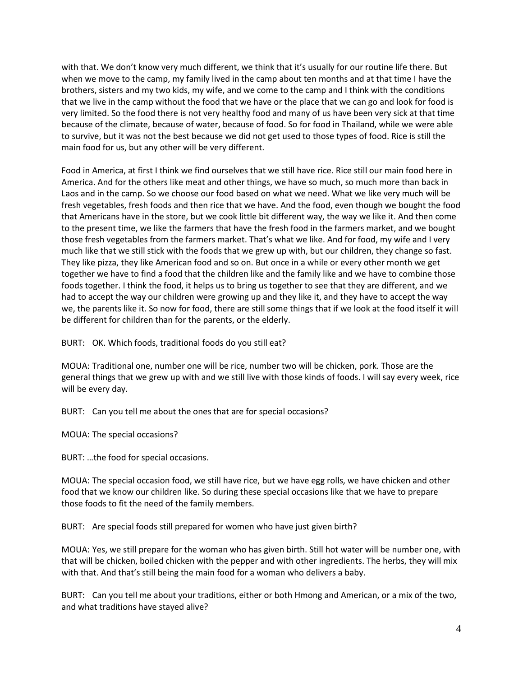with that. We don't know very much different, we think that it's usually for our routine life there. But when we move to the camp, my family lived in the camp about ten months and at that time I have the brothers, sisters and my two kids, my wife, and we come to the camp and I think with the conditions that we live in the camp without the food that we have or the place that we can go and look for food is very limited. So the food there is not very healthy food and many of us have been very sick at that time because of the climate, because of water, because of food. So for food in Thailand, while we were able to survive, but it was not the best because we did not get used to those types of food. Rice is still the main food for us, but any other will be very different.

Food in America, at first I think we find ourselves that we still have rice. Rice still our main food here in America. And for the others like meat and other things, we have so much, so much more than back in Laos and in the camp. So we choose our food based on what we need. What we like very much will be fresh vegetables, fresh foods and then rice that we have. And the food, even though we bought the food that Americans have in the store, but we cook little bit different way, the way we like it. And then come to the present time, we like the farmers that have the fresh food in the farmers market, and we bought those fresh vegetables from the farmers market. That's what we like. And for food, my wife and I very much like that we still stick with the foods that we grew up with, but our children, they change so fast. They like pizza, they like American food and so on. But once in a while or every other month we get together we have to find a food that the children like and the family like and we have to combine those foods together. I think the food, it helps us to bring us together to see that they are different, and we had to accept the way our children were growing up and they like it, and they have to accept the way we, the parents like it. So now for food, there are still some things that if we look at the food itself it will be different for children than for the parents, or the elderly.

BURT: OK. Which foods, traditional foods do you still eat?

MOUA: Traditional one, number one will be rice, number two will be chicken, pork. Those are the general things that we grew up with and we still live with those kinds of foods. I will say every week, rice will be every day.

BURT: Can you tell me about the ones that are for special occasions?

MOUA: The special occasions?

BURT: …the food for special occasions.

MOUA: The special occasion food, we still have rice, but we have egg rolls, we have chicken and other food that we know our children like. So during these special occasions like that we have to prepare those foods to fit the need of the family members.

BURT: Are special foods still prepared for women who have just given birth?

MOUA: Yes, we still prepare for the woman who has given birth. Still hot water will be number one, with that will be chicken, boiled chicken with the pepper and with other ingredients. The herbs, they will mix with that. And that's still being the main food for a woman who delivers a baby.

BURT: Can you tell me about your traditions, either or both Hmong and American, or a mix of the two, and what traditions have stayed alive?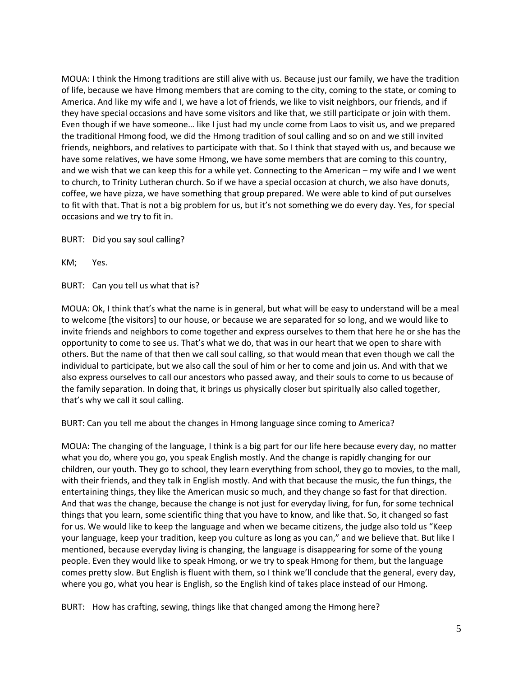MOUA: I think the Hmong traditions are still alive with us. Because just our family, we have the tradition of life, because we have Hmong members that are coming to the city, coming to the state, or coming to America. And like my wife and I, we have a lot of friends, we like to visit neighbors, our friends, and if they have special occasions and have some visitors and like that, we still participate or join with them. Even though if we have someone… like I just had my uncle come from Laos to visit us, and we prepared the traditional Hmong food, we did the Hmong tradition of soul calling and so on and we still invited friends, neighbors, and relatives to participate with that. So I think that stayed with us, and because we have some relatives, we have some Hmong, we have some members that are coming to this country, and we wish that we can keep this for a while yet. Connecting to the American – my wife and I we went to church, to Trinity Lutheran church. So if we have a special occasion at church, we also have donuts, coffee, we have pizza, we have something that group prepared. We were able to kind of put ourselves to fit with that. That is not a big problem for us, but it's not something we do every day. Yes, for special occasions and we try to fit in.

BURT: Did you say soul calling?

KM; Yes.

BURT: Can you tell us what that is?

MOUA: Ok, I think that's what the name is in general, but what will be easy to understand will be a meal to welcome [the visitors] to our house, or because we are separated for so long, and we would like to invite friends and neighbors to come together and express ourselves to them that here he or she has the opportunity to come to see us. That's what we do, that was in our heart that we open to share with others. But the name of that then we call soul calling, so that would mean that even though we call the individual to participate, but we also call the soul of him or her to come and join us. And with that we also express ourselves to call our ancestors who passed away, and their souls to come to us because of the family separation. In doing that, it brings us physically closer but spiritually also called together, that's why we call it soul calling.

BURT: Can you tell me about the changes in Hmong language since coming to America?

MOUA: The changing of the language, I think is a big part for our life here because every day, no matter what you do, where you go, you speak English mostly. And the change is rapidly changing for our children, our youth. They go to school, they learn everything from school, they go to movies, to the mall, with their friends, and they talk in English mostly. And with that because the music, the fun things, the entertaining things, they like the American music so much, and they change so fast for that direction. And that was the change, because the change is not just for everyday living, for fun, for some technical things that you learn, some scientific thing that you have to know, and like that. So, it changed so fast for us. We would like to keep the language and when we became citizens, the judge also told us "Keep your language, keep your tradition, keep you culture as long as you can," and we believe that. But like I mentioned, because everyday living is changing, the language is disappearing for some of the young people. Even they would like to speak Hmong, or we try to speak Hmong for them, but the language comes pretty slow. But English is fluent with them, so I think we'll conclude that the general, every day, where you go, what you hear is English, so the English kind of takes place instead of our Hmong.

BURT: How has crafting, sewing, things like that changed among the Hmong here?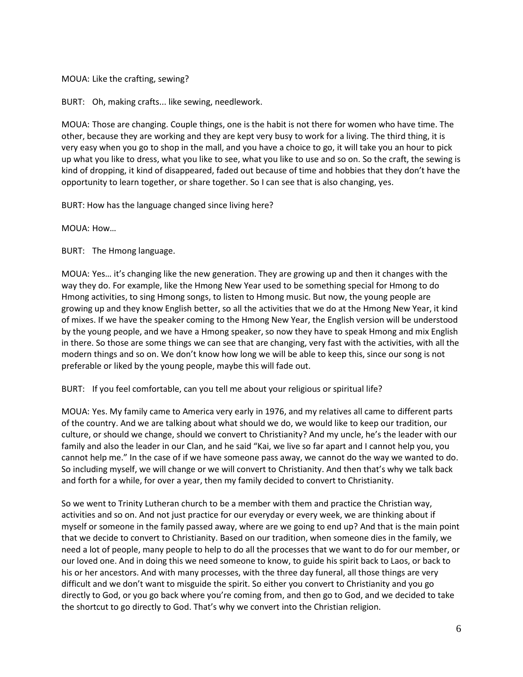MOUA: Like the crafting, sewing?

BURT: Oh, making crafts... like sewing, needlework.

MOUA: Those are changing. Couple things, one is the habit is not there for women who have time. The other, because they are working and they are kept very busy to work for a living. The third thing, it is very easy when you go to shop in the mall, and you have a choice to go, it will take you an hour to pick up what you like to dress, what you like to see, what you like to use and so on. So the craft, the sewing is kind of dropping, it kind of disappeared, faded out because of time and hobbies that they don't have the opportunity to learn together, or share together. So I can see that is also changing, yes.

BURT: How has the language changed since living here?

MOUA: How…

BURT: The Hmong language.

MOUA: Yes… it's changing like the new generation. They are growing up and then it changes with the way they do. For example, like the Hmong New Year used to be something special for Hmong to do Hmong activities, to sing Hmong songs, to listen to Hmong music. But now, the young people are growing up and they know English better, so all the activities that we do at the Hmong New Year, it kind of mixes. If we have the speaker coming to the Hmong New Year, the English version will be understood by the young people, and we have a Hmong speaker, so now they have to speak Hmong and mix English in there. So those are some things we can see that are changing, very fast with the activities, with all the modern things and so on. We don't know how long we will be able to keep this, since our song is not preferable or liked by the young people, maybe this will fade out.

BURT: If you feel comfortable, can you tell me about your religious or spiritual life?

MOUA: Yes. My family came to America very early in 1976, and my relatives all came to different parts of the country. And we are talking about what should we do, we would like to keep our tradition, our culture, or should we change, should we convert to Christianity? And my uncle, he's the leader with our family and also the leader in our Clan, and he said "Kai, we live so far apart and I cannot help you, you cannot help me." In the case of if we have someone pass away, we cannot do the way we wanted to do. So including myself, we will change or we will convert to Christianity. And then that's why we talk back and forth for a while, for over a year, then my family decided to convert to Christianity.

So we went to Trinity Lutheran church to be a member with them and practice the Christian way, activities and so on. And not just practice for our everyday or every week, we are thinking about if myself or someone in the family passed away, where are we going to end up? And that is the main point that we decide to convert to Christianity. Based on our tradition, when someone dies in the family, we need a lot of people, many people to help to do all the processes that we want to do for our member, or our loved one. And in doing this we need someone to know, to guide his spirit back to Laos, or back to his or her ancestors. And with many processes, with the three day funeral, all those things are very difficult and we don't want to misguide the spirit. So either you convert to Christianity and you go directly to God, or you go back where you're coming from, and then go to God, and we decided to take the shortcut to go directly to God. That's why we convert into the Christian religion.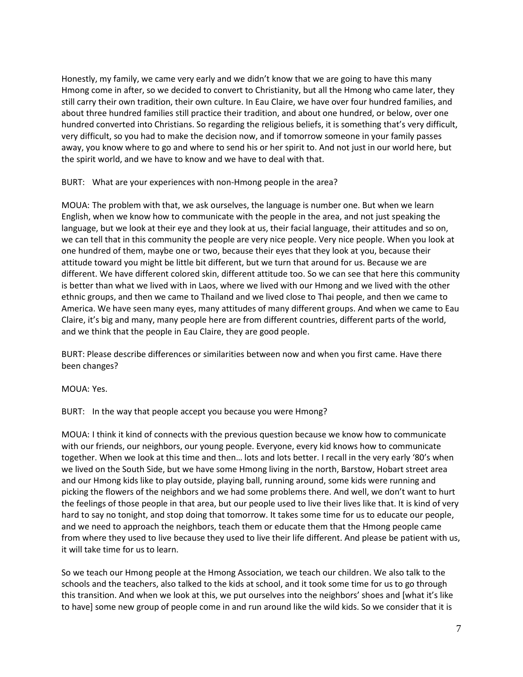Honestly, my family, we came very early and we didn't know that we are going to have this many Hmong come in after, so we decided to convert to Christianity, but all the Hmong who came later, they still carry their own tradition, their own culture. In Eau Claire, we have over four hundred families, and about three hundred families still practice their tradition, and about one hundred, or below, over one hundred converted into Christians. So regarding the religious beliefs, it is something that's very difficult, very difficult, so you had to make the decision now, and if tomorrow someone in your family passes away, you know where to go and where to send his or her spirit to. And not just in our world here, but the spirit world, and we have to know and we have to deal with that.

BURT: What are your experiences with non-Hmong people in the area?

MOUA: The problem with that, we ask ourselves, the language is number one. But when we learn English, when we know how to communicate with the people in the area, and not just speaking the language, but we look at their eye and they look at us, their facial language, their attitudes and so on, we can tell that in this community the people are very nice people. Very nice people. When you look at one hundred of them, maybe one or two, because their eyes that they look at you, because their attitude toward you might be little bit different, but we turn that around for us. Because we are different. We have different colored skin, different attitude too. So we can see that here this community is better than what we lived with in Laos, where we lived with our Hmong and we lived with the other ethnic groups, and then we came to Thailand and we lived close to Thai people, and then we came to America. We have seen many eyes, many attitudes of many different groups. And when we came to Eau Claire, it's big and many, many people here are from different countries, different parts of the world, and we think that the people in Eau Claire, they are good people.

BURT: Please describe differences or similarities between now and when you first came. Have there been changes?

MOUA: Yes.

BURT: In the way that people accept you because you were Hmong?

MOUA: I think it kind of connects with the previous question because we know how to communicate with our friends, our neighbors, our young people. Everyone, every kid knows how to communicate together. When we look at this time and then… lots and lots better. I recall in the very early '80's when we lived on the South Side, but we have some Hmong living in the north, Barstow, Hobart street area and our Hmong kids like to play outside, playing ball, running around, some kids were running and picking the flowers of the neighbors and we had some problems there. And well, we don't want to hurt the feelings of those people in that area, but our people used to live their lives like that. It is kind of very hard to say no tonight, and stop doing that tomorrow. It takes some time for us to educate our people, and we need to approach the neighbors, teach them or educate them that the Hmong people came from where they used to live because they used to live their life different. And please be patient with us, it will take time for us to learn.

So we teach our Hmong people at the Hmong Association, we teach our children. We also talk to the schools and the teachers, also talked to the kids at school, and it took some time for us to go through this transition. And when we look at this, we put ourselves into the neighbors' shoes and [what it's like to have] some new group of people come in and run around like the wild kids. So we consider that it is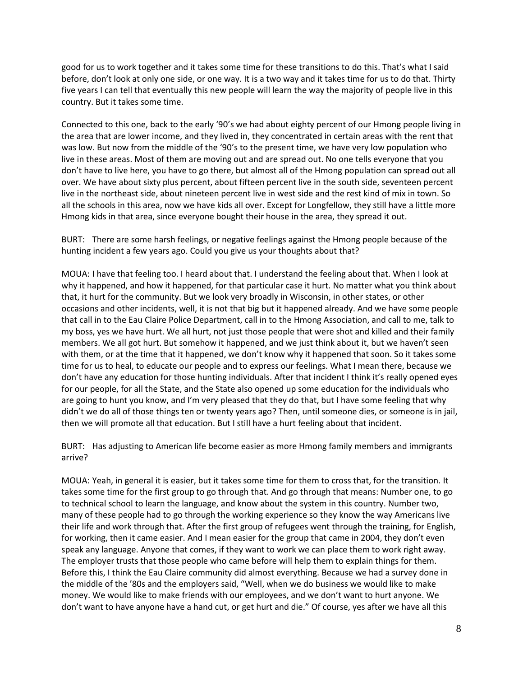good for us to work together and it takes some time for these transitions to do this. That's what I said before, don't look at only one side, or one way. It is a two way and it takes time for us to do that. Thirty five years I can tell that eventually this new people will learn the way the majority of people live in this country. But it takes some time.

Connected to this one, back to the early '90's we had about eighty percent of our Hmong people living in the area that are lower income, and they lived in, they concentrated in certain areas with the rent that was low. But now from the middle of the '90's to the present time, we have very low population who live in these areas. Most of them are moving out and are spread out. No one tells everyone that you don't have to live here, you have to go there, but almost all of the Hmong population can spread out all over. We have about sixty plus percent, about fifteen percent live in the south side, seventeen percent live in the northeast side, about nineteen percent live in west side and the rest kind of mix in town. So all the schools in this area, now we have kids all over. Except for Longfellow, they still have a little more Hmong kids in that area, since everyone bought their house in the area, they spread it out.

BURT: There are some harsh feelings, or negative feelings against the Hmong people because of the hunting incident a few years ago. Could you give us your thoughts about that?

MOUA: I have that feeling too. I heard about that. I understand the feeling about that. When I look at why it happened, and how it happened, for that particular case it hurt. No matter what you think about that, it hurt for the community. But we look very broadly in Wisconsin, in other states, or other occasions and other incidents, well, it is not that big but it happened already. And we have some people that call in to the Eau Claire Police Department, call in to the Hmong Association, and call to me, talk to my boss, yes we have hurt. We all hurt, not just those people that were shot and killed and their family members. We all got hurt. But somehow it happened, and we just think about it, but we haven't seen with them, or at the time that it happened, we don't know why it happened that soon. So it takes some time for us to heal, to educate our people and to express our feelings. What I mean there, because we don't have any education for those hunting individuals. After that incident I think it's really opened eyes for our people, for all the State, and the State also opened up some education for the individuals who are going to hunt you know, and I'm very pleased that they do that, but I have some feeling that why didn't we do all of those things ten or twenty years ago? Then, until someone dies, or someone is in jail, then we will promote all that education. But I still have a hurt feeling about that incident.

BURT: Has adjusting to American life become easier as more Hmong family members and immigrants arrive?

MOUA: Yeah, in general it is easier, but it takes some time for them to cross that, for the transition. It takes some time for the first group to go through that. And go through that means: Number one, to go to technical school to learn the language, and know about the system in this country. Number two, many of these people had to go through the working experience so they know the way Americans live their life and work through that. After the first group of refugees went through the training, for English, for working, then it came easier. And I mean easier for the group that came in 2004, they don't even speak any language. Anyone that comes, if they want to work we can place them to work right away. The employer trusts that those people who came before will help them to explain things for them. Before this, I think the Eau Claire community did almost everything. Because we had a survey done in the middle of the '80s and the employers said, "Well, when we do business we would like to make money. We would like to make friends with our employees, and we don't want to hurt anyone. We don't want to have anyone have a hand cut, or get hurt and die." Of course, yes after we have all this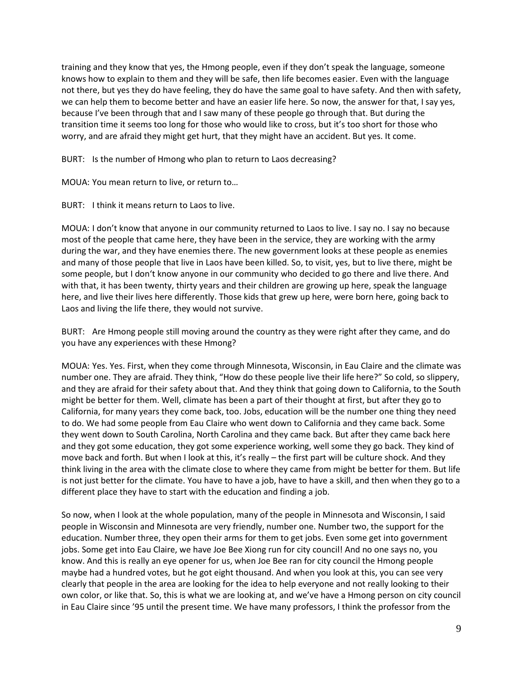training and they know that yes, the Hmong people, even if they don't speak the language, someone knows how to explain to them and they will be safe, then life becomes easier. Even with the language not there, but yes they do have feeling, they do have the same goal to have safety. And then with safety, we can help them to become better and have an easier life here. So now, the answer for that, I say yes, because I've been through that and I saw many of these people go through that. But during the transition time it seems too long for those who would like to cross, but it's too short for those who worry, and are afraid they might get hurt, that they might have an accident. But yes. It come.

BURT: Is the number of Hmong who plan to return to Laos decreasing?

MOUA: You mean return to live, or return to…

BURT: I think it means return to Laos to live.

MOUA: I don't know that anyone in our community returned to Laos to live. I say no. I say no because most of the people that came here, they have been in the service, they are working with the army during the war, and they have enemies there. The new government looks at these people as enemies and many of those people that live in Laos have been killed. So, to visit, yes, but to live there, might be some people, but I don't know anyone in our community who decided to go there and live there. And with that, it has been twenty, thirty years and their children are growing up here, speak the language here, and live their lives here differently. Those kids that grew up here, were born here, going back to Laos and living the life there, they would not survive.

BURT: Are Hmong people still moving around the country as they were right after they came, and do you have any experiences with these Hmong?

MOUA: Yes. Yes. First, when they come through Minnesota, Wisconsin, in Eau Claire and the climate was number one. They are afraid. They think, "How do these people live their life here?" So cold, so slippery, and they are afraid for their safety about that. And they think that going down to California, to the South might be better for them. Well, climate has been a part of their thought at first, but after they go to California, for many years they come back, too. Jobs, education will be the number one thing they need to do. We had some people from Eau Claire who went down to California and they came back. Some they went down to South Carolina, North Carolina and they came back. But after they came back here and they got some education, they got some experience working, well some they go back. They kind of move back and forth. But when I look at this, it's really – the first part will be culture shock. And they think living in the area with the climate close to where they came from might be better for them. But life is not just better for the climate. You have to have a job, have to have a skill, and then when they go to a different place they have to start with the education and finding a job.

So now, when I look at the whole population, many of the people in Minnesota and Wisconsin, I said people in Wisconsin and Minnesota are very friendly, number one. Number two, the support for the education. Number three, they open their arms for them to get jobs. Even some get into government jobs. Some get into Eau Claire, we have Joe Bee Xiong run for city council! And no one says no, you know. And this is really an eye opener for us, when Joe Bee ran for city council the Hmong people maybe had a hundred votes, but he got eight thousand. And when you look at this, you can see very clearly that people in the area are looking for the idea to help everyone and not really looking to their own color, or like that. So, this is what we are looking at, and we've have a Hmong person on city council in Eau Claire since '95 until the present time. We have many professors, I think the professor from the